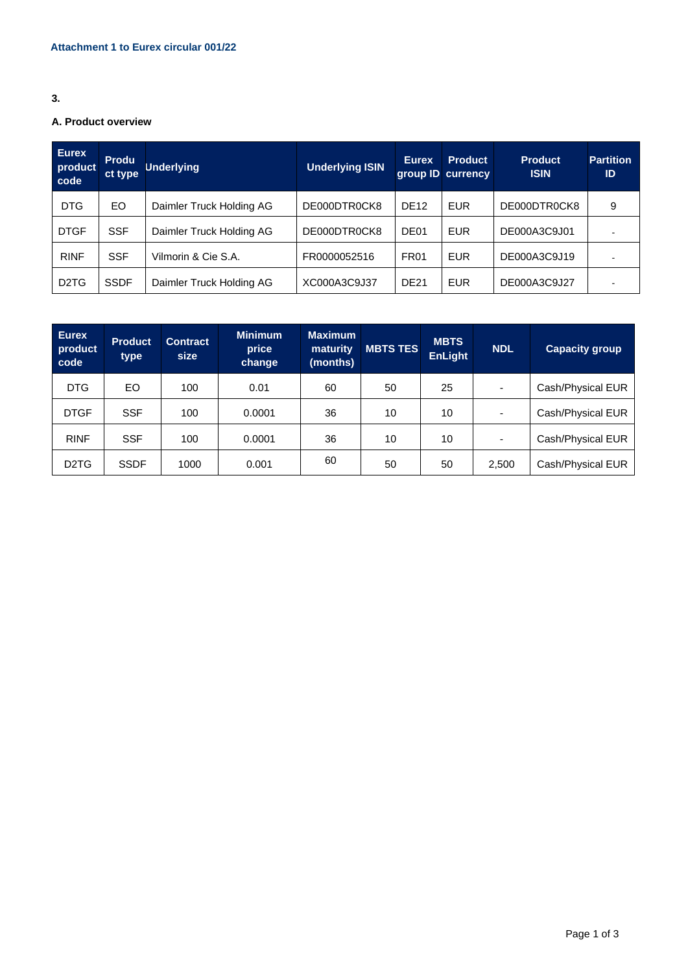## **3.**

# **A. Product overview**

| <b>Eurex</b><br>product<br>code | <b>Produ</b><br>ct type | <b>Underlying</b>        | <b>Underlying ISIN</b> | <b>Eurex</b>     | <b>Product</b><br>group ID currency | <b>Product</b><br><b>ISIN</b> | <b>Partition</b><br>ID |
|---------------------------------|-------------------------|--------------------------|------------------------|------------------|-------------------------------------|-------------------------------|------------------------|
| <b>DTG</b>                      | EO                      | Daimler Truck Holding AG | DE000DTR0CK8           | <b>DE12</b>      | <b>EUR</b>                          | DE000DTR0CK8                  | 9                      |
| <b>DTGF</b>                     | <b>SSF</b>              | Daimler Truck Holding AG | DE000DTR0CK8           | DE <sub>01</sub> | <b>EUR</b>                          | DE000A3C9J01                  |                        |
| <b>RINF</b>                     | <b>SSF</b>              | Vilmorin & Cie S.A.      | FR0000052516           | <b>FR01</b>      | <b>EUR</b>                          | DE000A3C9J19                  |                        |
| D <sub>2</sub> T <sub>G</sub>   | <b>SSDF</b>             | Daimler Truck Holding AG | XC000A3C9J37           | <b>DE21</b>      | <b>EUR</b>                          | DE000A3C9J27                  |                        |

| <b>Eurex</b><br>product<br>code | <b>Product</b><br>type | <b>Contract</b><br>size | <b>Minimum</b><br>price<br>change | <b>Maximum</b><br>maturity<br>(months) | <b>MBTS TES</b> | <b>MBTS</b><br><b>EnLight</b> | <b>NDL</b>               | <b>Capacity group</b> |
|---------------------------------|------------------------|-------------------------|-----------------------------------|----------------------------------------|-----------------|-------------------------------|--------------------------|-----------------------|
| <b>DTG</b>                      | EO.                    | 100                     | 0.01                              | 60                                     | 50              | 25                            | $\overline{\phantom{0}}$ | Cash/Physical EUR     |
| <b>DTGF</b>                     | <b>SSF</b>             | 100                     | 0.0001                            | 36                                     | 10              | 10                            | $\overline{\phantom{0}}$ | Cash/Physical EUR     |
| <b>RINF</b>                     | <b>SSF</b>             | 100                     | 0.0001                            | 36                                     | 10              | 10                            | $\blacksquare$           | Cash/Physical EUR     |
| D <sub>2</sub> T <sub>G</sub>   | <b>SSDF</b>            | 1000                    | 0.001                             | 60                                     | 50              | 50                            | 2,500                    | Cash/Physical EUR     |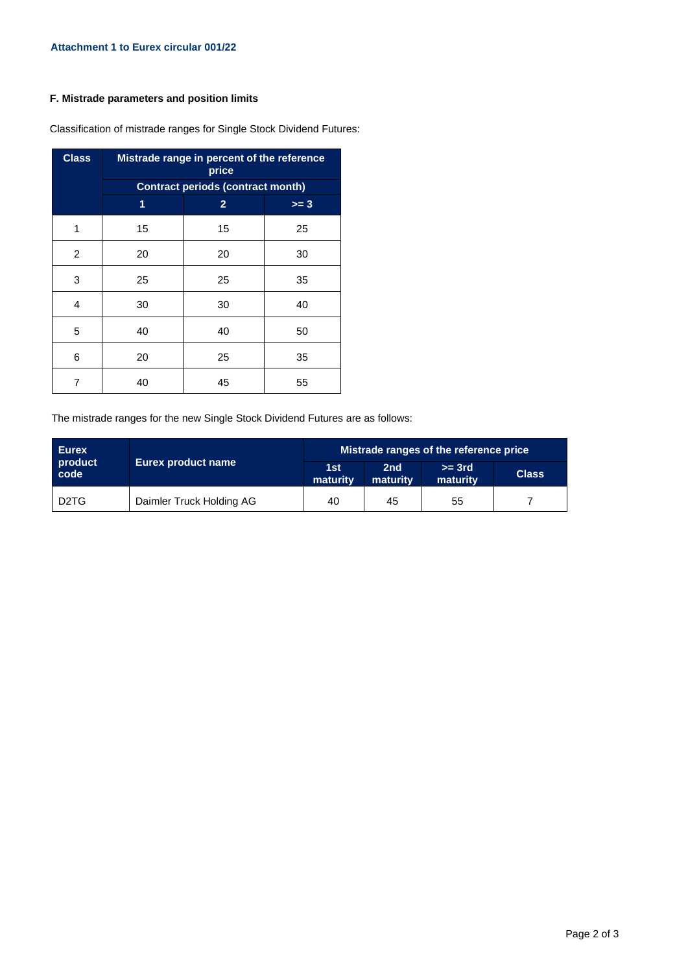### **F. Mistrade parameters and position limits**

| <b>Class</b> | Mistrade range in percent of the reference<br>price |                |        |  |  |  |  |  |
|--------------|-----------------------------------------------------|----------------|--------|--|--|--|--|--|
|              | <b>Contract periods (contract month)</b>            |                |        |  |  |  |  |  |
|              | 1                                                   | $\overline{2}$ | $>= 3$ |  |  |  |  |  |
| 1            | 15                                                  | 15             | 25     |  |  |  |  |  |
| 2            | 20                                                  | 20             | 30     |  |  |  |  |  |
| 3            | 25                                                  | 25             | 35     |  |  |  |  |  |
| 4            | 30                                                  | 30             | 40     |  |  |  |  |  |
| 5            | 40                                                  | 40             | 50     |  |  |  |  |  |
| 6            | 20                                                  | 25             | 35     |  |  |  |  |  |
| 7            | 40                                                  | 45             | 55     |  |  |  |  |  |

Classification of mistrade ranges for Single Stock Dividend Futures:

The mistrade ranges for the new Single Stock Dividend Futures are as follows:

| <b>Eurex</b>                  |                          | Mistrade ranges of the reference price |                             |                      |              |  |  |
|-------------------------------|--------------------------|----------------------------------------|-----------------------------|----------------------|--------------|--|--|
| product<br>code               | Eurex product name       | 1st<br>maturity                        | 2 <sub>nd</sub><br>maturity | $>=$ 3rd<br>maturity | <b>Class</b> |  |  |
| D <sub>2</sub> T <sub>G</sub> | Daimler Truck Holding AG | 40                                     | 45                          | 55                   |              |  |  |